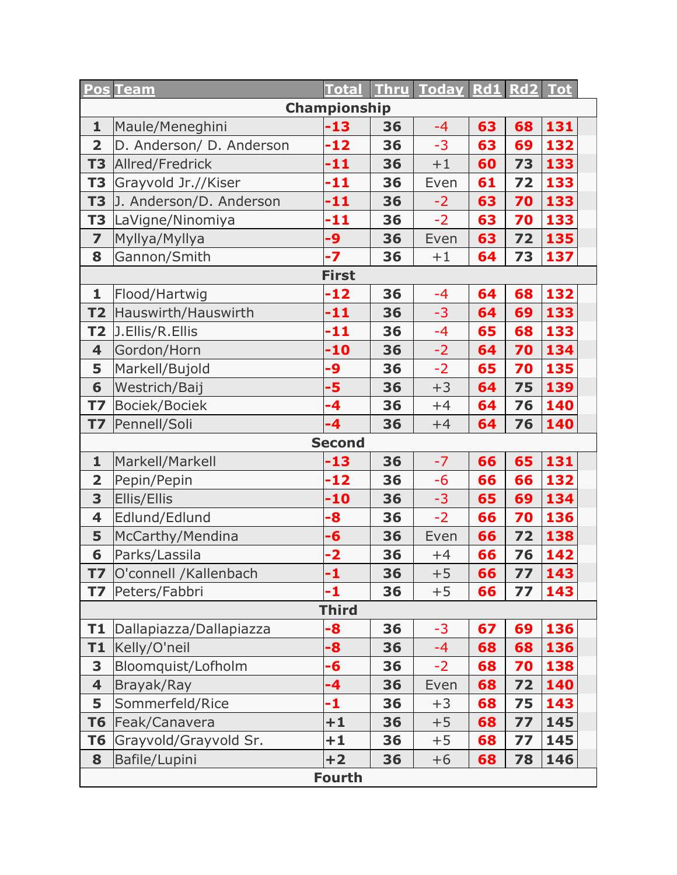|                         | <b>Pos Team</b>          | <b>Total</b>  |    | Thru Today Rd1 Rd2 Tot |    |    |     |  |
|-------------------------|--------------------------|---------------|----|------------------------|----|----|-----|--|
| Championship            |                          |               |    |                        |    |    |     |  |
| $\mathbf{1}$            | Maule/Meneghini          | -13           | 36 | $-4$                   | 63 | 68 | 131 |  |
| $\overline{2}$          | D. Anderson/ D. Anderson | $-12$         | 36 | $-3$                   | 63 | 69 | 132 |  |
| <b>T3</b>               | Allred/Fredrick          | $-11$         | 36 | $+1$                   | 60 | 73 | 133 |  |
| <b>T3</b>               | Grayvold Jr.//Kiser      | $-11$         | 36 | Even                   | 61 | 72 | 133 |  |
| T <sub>3</sub>          | J. Anderson/D. Anderson  | -11           | 36 | $-2$                   | 63 | 70 | 133 |  |
| T <sub>3</sub>          | LaVigne/Ninomiya         | -11           | 36 | $-2$                   | 63 | 70 | 133 |  |
| $\overline{\mathbf{z}}$ | Myllya/Myllya            | -9            | 36 | Even                   | 63 | 72 | 135 |  |
| 8                       | Gannon/Smith             | $-7$          | 36 | $+1$                   | 64 | 73 | 137 |  |
|                         |                          | <b>First</b>  |    |                        |    |    |     |  |
| $\mathbf{1}$            | Flood/Hartwig            | $-12$         | 36 | $-4$                   | 64 | 68 | 132 |  |
| <b>T2</b>               | Hauswirth/Hauswirth      | -11           | 36 | $-3$                   | 64 | 69 | 133 |  |
| <b>T2</b>               | J.Ellis/R.Ellis          | $-11$         | 36 | $-4$                   | 65 | 68 | 133 |  |
| $\overline{\mathbf{4}}$ | Gordon/Horn              | $-10$         | 36 | $-2$                   | 64 | 70 | 134 |  |
| 5                       | Markell/Bujold           | -9            | 36 | $-2$                   | 65 | 70 | 135 |  |
| 6                       | Westrich/Baij            | -5            | 36 | $+3$                   | 64 | 75 | 139 |  |
| <b>T7</b>               | Bociek/Bociek            | $-4$          | 36 | $+4$                   | 64 | 76 | 140 |  |
| <b>T7</b>               | Pennell/Soli             | $-4$          | 36 | $+4$                   | 64 | 76 | 140 |  |
|                         |                          | <b>Second</b> |    |                        |    |    |     |  |
| $\mathbf{1}$            | Markell/Markell          | $-13$         | 36 | $-7$                   | 66 | 65 | 131 |  |
| $\overline{\mathbf{2}}$ | Pepin/Pepin              | $-12$         | 36 | $-6$                   | 66 | 66 | 132 |  |
| 3                       | <b>Ellis/Ellis</b>       | $-10$         | 36 | $-3$                   | 65 | 69 | 134 |  |
| $\overline{\mathbf{4}}$ | Edlund/Edlund            | -8            | 36 | $-2$                   | 66 | 70 | 136 |  |
| 5                       | McCarthy/Mendina         | -6            | 36 | Even                   | 66 | 72 | 138 |  |
| 6                       | Parks/Lassila            | $-2$          | 36 | $+4$                   | 66 | 76 | 142 |  |
| T7                      | O'connell /Kallenbach    | -1            | 36 | $+5$                   | 66 | 77 | 143 |  |
| <b>T7</b>               | Peters/Fabbri            | -1            | 36 | $+5$                   | 66 | 77 | 143 |  |
| <b>Third</b>            |                          |               |    |                        |    |    |     |  |
| T1                      | Dallapiazza/Dallapiazza  | -8            | 36 | $-3$                   | 67 | 69 | 136 |  |
| T1                      | Kelly/O'neil             | -8            | 36 | $-4$                   | 68 | 68 | 136 |  |
| 3                       | Bloomquist/Lofholm       | -6            | 36 | $-2$                   | 68 | 70 | 138 |  |
| $\overline{\mathbf{4}}$ | Brayak/Ray               | -4            | 36 | Even                   | 68 | 72 | 140 |  |
| 5                       | Sommerfeld/Rice          | -1            | 36 | $+3$                   | 68 | 75 | 143 |  |
| T <sub>6</sub>          | Feak/Canavera            | $+1$          | 36 | $+5$                   | 68 | 77 | 145 |  |
| T <sub>6</sub>          | Grayvold/Grayvold Sr.    | $+1$          | 36 | $+5$                   | 68 | 77 | 145 |  |
| 8                       | Bafile/Lupini            | $+2$          | 36 | $+6$                   | 68 | 78 | 146 |  |
| <b>Fourth</b>           |                          |               |    |                        |    |    |     |  |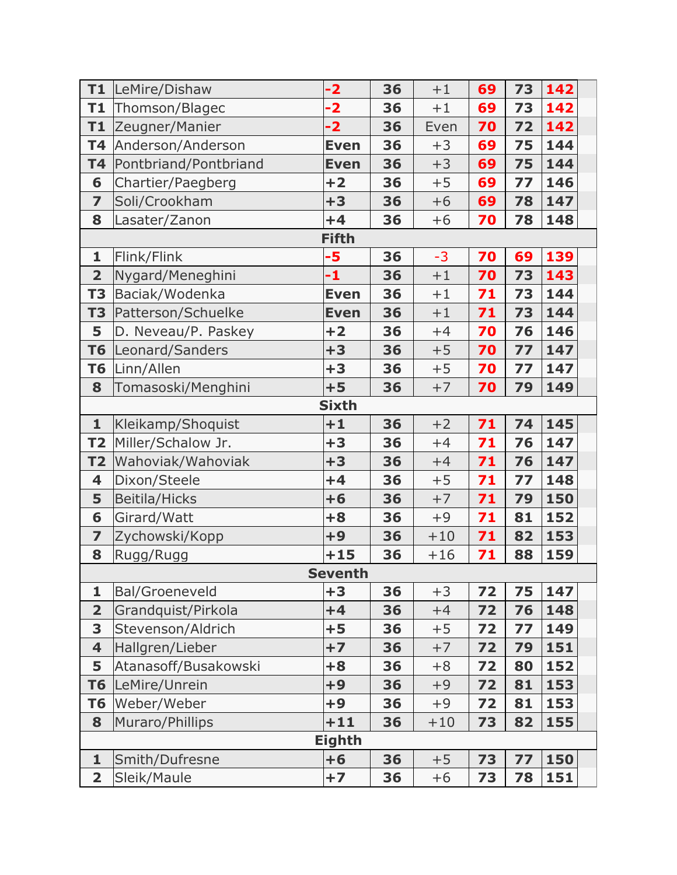| T1                      | LeMire/Dishaw         | $-2$         | 36 | $+1$  | 69 | 73 | 142 |  |  |
|-------------------------|-----------------------|--------------|----|-------|----|----|-----|--|--|
| T1                      | Thomson/Blagec        | $-2$         | 36 | $+1$  | 69 | 73 | 142 |  |  |
| T1                      | Zeugner/Manier        | $-2$         | 36 | Even  | 70 | 72 | 142 |  |  |
| <b>T4</b>               | Anderson/Anderson     | <b>Even</b>  | 36 | $+3$  | 69 | 75 | 144 |  |  |
| <b>T4</b>               | Pontbriand/Pontbriand | <b>Even</b>  | 36 | $+3$  | 69 | 75 | 144 |  |  |
| 6                       | Chartier/Paegberg     | $+2$         | 36 | $+5$  | 69 | 77 | 146 |  |  |
| $\overline{\mathbf{z}}$ | Soli/Crookham         | $+3$         | 36 | $+6$  | 69 | 78 | 147 |  |  |
| 8                       | Lasater/Zanon         | $+4$         | 36 | $+6$  | 70 | 78 | 148 |  |  |
|                         |                       | <b>Fifth</b> |    |       |    |    |     |  |  |
| $\mathbf{1}$            | Flink/Flink           | -5           | 36 | $-3$  | 70 | 69 | 139 |  |  |
| $\overline{\mathbf{2}}$ | Nygard/Meneghini      | -1           | 36 | $+1$  | 70 | 73 | 143 |  |  |
| <b>T3</b>               | Baciak/Wodenka        | <b>Even</b>  | 36 | $+1$  | 71 | 73 | 144 |  |  |
| T <sub>3</sub>          | Patterson/Schuelke    | <b>Even</b>  | 36 | $+1$  | 71 | 73 | 144 |  |  |
| 5                       | D. Neveau/P. Paskey   | $+2$         | 36 | $+4$  | 70 | 76 | 146 |  |  |
| <b>T6</b>               | Leonard/Sanders       | $+3$         | 36 | $+5$  | 70 | 77 | 147 |  |  |
| <b>T6</b>               | Linn/Allen            | $+3$         | 36 | $+5$  | 70 | 77 | 147 |  |  |
| 8                       | Tomasoski/Menghini    | $+5$         | 36 | $+7$  | 70 | 79 | 149 |  |  |
| <b>Sixth</b>            |                       |              |    |       |    |    |     |  |  |
| $\mathbf{1}$            | Kleikamp/Shoquist     | $+1$         | 36 | $+2$  | 71 | 74 | 145 |  |  |
| <b>T2</b>               | Miller/Schalow Jr.    | $+3$         | 36 | $+4$  | 71 | 76 | 147 |  |  |
| T <sub>2</sub>          | Wahoviak/Wahoviak     | $+3$         | 36 | $+4$  | 71 | 76 | 147 |  |  |
| 4                       | Dixon/Steele          | $+4$         | 36 | $+5$  | 71 | 77 | 148 |  |  |
| 5                       | <b>Beitila/Hicks</b>  | $+6$         | 36 | $+7$  | 71 | 79 | 150 |  |  |
| 6                       | Girard/Watt           | $+8$         | 36 | $+9$  | 71 | 81 | 152 |  |  |
| $\overline{\mathbf{z}}$ | Zychowski/Kopp        | $+9$         | 36 | $+10$ | 71 | 82 | 153 |  |  |
| 8                       | Rugg/Rugg             | $+15$        | 36 | $+16$ | 71 | 88 | 159 |  |  |
|                         | <b>Seventh</b>        |              |    |       |    |    |     |  |  |
| 1                       | <b>Bal/Groeneveld</b> | $+3$         | 36 | $+3$  | 72 | 75 | 147 |  |  |
| $\overline{\mathbf{2}}$ | Grandquist/Pirkola    | $+4$         | 36 | $+4$  | 72 | 76 | 148 |  |  |
| 3                       | Stevenson/Aldrich     | $+5$         | 36 | $+5$  | 72 | 77 | 149 |  |  |
| $\overline{\mathbf{4}}$ | Hallgren/Lieber       | $+7$         | 36 | $+7$  | 72 | 79 | 151 |  |  |
| 5                       | Atanasoff/Busakowski  | $+8$         | 36 | $+8$  | 72 | 80 | 152 |  |  |
| <b>T6</b>               | LeMire/Unrein         | $+9$         | 36 | $+9$  | 72 | 81 | 153 |  |  |
| T <sub>6</sub>          | Weber/Weber           | $+9$         | 36 | $+9$  | 72 | 81 | 153 |  |  |
| 8                       | Muraro/Phillips       | $+11$        | 36 | $+10$ | 73 | 82 | 155 |  |  |
| <b>Eighth</b>           |                       |              |    |       |    |    |     |  |  |
| $\mathbf{1}$            | Smith/Dufresne        | $+6$         | 36 | $+5$  | 73 | 77 | 150 |  |  |
| $\overline{\mathbf{2}}$ | Sleik/Maule           | $+7$         | 36 | $+6$  | 73 | 78 | 151 |  |  |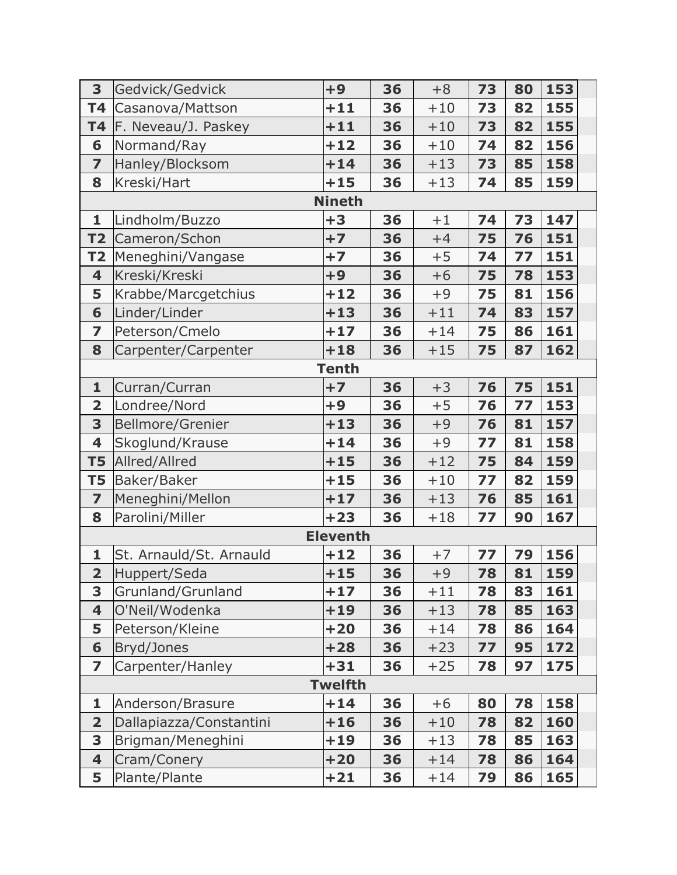| 3                       | Gedvick/Gedvick         | $+9$            | 36 | $+8$  | 73 | 80 | 153 |  |  |
|-------------------------|-------------------------|-----------------|----|-------|----|----|-----|--|--|
| <b>T4</b>               | Casanova/Mattson        | $+11$           | 36 | $+10$ | 73 | 82 | 155 |  |  |
| <b>T4</b>               | F. Neveau/J. Paskey     | $+11$           | 36 | $+10$ | 73 | 82 | 155 |  |  |
| 6                       | Normand/Ray             | $+12$           | 36 | $+10$ | 74 | 82 | 156 |  |  |
| $\overline{z}$          | Hanley/Blocksom         | $+14$           | 36 | $+13$ | 73 | 85 | 158 |  |  |
| 8                       | Kreski/Hart             | $+15$           | 36 | $+13$ | 74 | 85 | 159 |  |  |
|                         |                         | <b>Nineth</b>   |    |       |    |    |     |  |  |
| 1                       | Lindholm/Buzzo          | $+3$            | 36 | $+1$  | 74 | 73 | 147 |  |  |
| T <sub>2</sub>          | Cameron/Schon           | $+7$            | 36 | $+4$  | 75 | 76 | 151 |  |  |
| T <sub>2</sub>          | Meneghini/Vangase       | $+7$            | 36 | $+5$  | 74 | 77 | 151 |  |  |
| $\overline{\mathbf{4}}$ | Kreski/Kreski           | $+9$            | 36 | $+6$  | 75 | 78 | 153 |  |  |
| 5                       | Krabbe/Marcgetchius     | $+12$           | 36 | $+9$  | 75 | 81 | 156 |  |  |
| 6                       | Linder/Linder           | $+13$           | 36 | $+11$ | 74 | 83 | 157 |  |  |
| 7                       | Peterson/Cmelo          | $+17$           | 36 | $+14$ | 75 | 86 | 161 |  |  |
| 8                       | Carpenter/Carpenter     | $+18$           | 36 | $+15$ | 75 | 87 | 162 |  |  |
| <b>Tenth</b>            |                         |                 |    |       |    |    |     |  |  |
| $\mathbf{1}$            | Curran/Curran           | $+7$            | 36 | $+3$  | 76 | 75 | 151 |  |  |
| $\overline{\mathbf{2}}$ | Londree/Nord            | $+9$            | 36 | $+5$  | 76 | 77 | 153 |  |  |
| 3                       | <b>Bellmore/Grenier</b> | $+13$           | 36 | $+9$  | 76 | 81 | 157 |  |  |
| 4                       | Skoglund/Krause         | $+14$           | 36 | $+9$  | 77 | 81 | 158 |  |  |
| <b>T5</b>               | Allred/Allred           | $+15$           | 36 | $+12$ | 75 | 84 | 159 |  |  |
| T5                      | Baker/Baker             | $+15$           | 36 | $+10$ | 77 | 82 | 159 |  |  |
| $\overline{\mathbf{z}}$ | Meneghini/Mellon        | $+17$           | 36 | $+13$ | 76 | 85 | 161 |  |  |
| 8                       | Parolini/Miller         | $+23$           | 36 | $+18$ | 77 | 90 | 167 |  |  |
|                         |                         | <b>Eleventh</b> |    |       |    |    |     |  |  |
| 1                       | St. Arnauld/St. Arnauld | $+12$           | 36 | $+7$  | 77 | 79 | 156 |  |  |
| $\overline{\mathbf{2}}$ | Huppert/Seda            | $+15$           | 36 | $+9$  | 78 | 81 | 159 |  |  |
| 3                       | Grunland/Grunland       | $+17$           | 36 | $+11$ | 78 | 83 | 161 |  |  |
| 4                       | O'Neil/Wodenka          | $+19$           | 36 | $+13$ | 78 | 85 | 163 |  |  |
| 5                       | Peterson/Kleine         | $+20$           | 36 | $+14$ | 78 | 86 | 164 |  |  |
| 6                       | Bryd/Jones              | $+28$           | 36 | $+23$ | 77 | 95 | 172 |  |  |
| $\overline{\mathbf{z}}$ | Carpenter/Hanley        | $+31$           | 36 | $+25$ | 78 | 97 | 175 |  |  |
| <b>Twelfth</b>          |                         |                 |    |       |    |    |     |  |  |
| $\mathbf{1}$            | Anderson/Brasure        | $+14$           | 36 | $+6$  | 80 | 78 | 158 |  |  |
| $\overline{\mathbf{2}}$ | Dallapiazza/Constantini | $+16$           | 36 | $+10$ | 78 | 82 | 160 |  |  |
| 3                       | Brigman/Meneghini       | $+19$           | 36 | $+13$ | 78 | 85 | 163 |  |  |
| $\overline{\mathbf{4}}$ | Cram/Conery             | $+20$           | 36 | $+14$ | 78 | 86 | 164 |  |  |
| 5                       | Plante/Plante           | $+21$           | 36 | $+14$ | 79 | 86 | 165 |  |  |